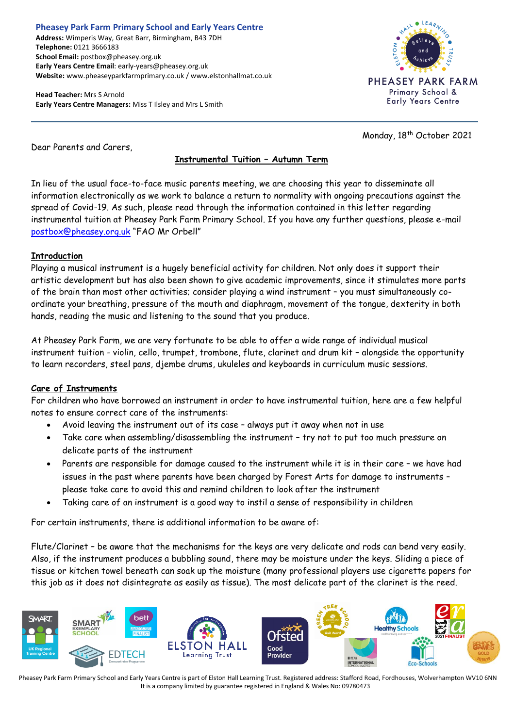# **Pheasey Park Farm Primary School and Early Years Centre**

**Address:** Wimperis Way, Great Barr, Birmingham, B43 7DH **Telephone:** 0121 3666183 **School Email:** postbox@pheasey.org.uk **Early Years Centre Email**: early-years@pheasey.org.uk **Website:** www.pheaseyparkfarmprimary.co.uk / www.elstonhallmat.co.uk

**Head Teacher:** Mrs S Arnold **Early Years Centre Managers:** Miss T Ilsley and Mrs L Smith



Monday, 18<sup>th</sup> October 2021

Dear Parents and Carers,

## **Instrumental Tuition – Autumn Term**

In lieu of the usual face-to-face music parents meeting, we are choosing this year to disseminate all information electronically as we work to balance a return to normality with ongoing precautions against the spread of Covid-19. As such, please read through the information contained in this letter regarding instrumental tuition at Pheasey Park Farm Primary School. If you have any further questions, please e-mail [postbox@pheasey.org.uk](mailto:postbox@pheasey.org.uk) "FAO Mr Orbell"

### **Introduction**

Playing a musical instrument is a hugely beneficial activity for children. Not only does it support their artistic development but has also been shown to give academic improvements, since it stimulates more parts of the brain than most other activities; consider playing a wind instrument – you must simultaneously coordinate your breathing, pressure of the mouth and diaphragm, movement of the tongue, dexterity in both hands, reading the music and listening to the sound that you produce.

At Pheasey Park Farm, we are very fortunate to be able to offer a wide range of individual musical instrument tuition - violin, cello, trumpet, trombone, flute, clarinet and drum kit – alongside the opportunity to learn recorders, steel pans, djembe drums, ukuleles and keyboards in curriculum music sessions.

### **Care of Instruments**

For children who have borrowed an instrument in order to have instrumental tuition, here are a few helpful notes to ensure correct care of the instruments:

- Avoid leaving the instrument out of its case always put it away when not in use
- Take care when assembling/disassembling the instrument try not to put too much pressure on delicate parts of the instrument
- Parents are responsible for damage caused to the instrument while it is in their care we have had issues in the past where parents have been charged by Forest Arts for damage to instruments – please take care to avoid this and remind children to look after the instrument
- Taking care of an instrument is a good way to instil a sense of responsibility in children

For certain instruments, there is additional information to be aware of:

Flute/Clarinet – be aware that the mechanisms for the keys are very delicate and rods can bend very easily. Also, if the instrument produces a bubbling sound, there may be moisture under the keys. Sliding a piece of tissue or kitchen towel beneath can soak up the moisture (many professional players use cigarette papers for this job as it does not disintegrate as easily as tissue). The most delicate part of the clarinet is the reed.



Pheasey Park Farm Primary School and Early Years Centre is part of Elston Hall Learning Trust. Registered address: Stafford Road, Fordhouses, Wolverhampton WV10 6NN It is a company limited by guarantee registered in England & Wales No: 09780473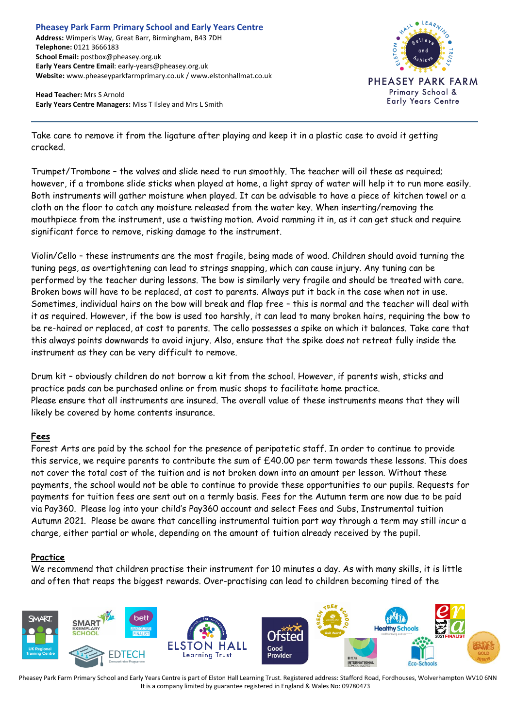**Head Teacher:** Mrs S Arnold **Early Years Centre Managers:** Miss T Ilsley and Mrs L Smith



Take care to remove it from the ligature after playing and keep it in a plastic case to avoid it getting cracked.

Trumpet/Trombone – the valves and slide need to run smoothly. The teacher will oil these as required; however, if a trombone slide sticks when played at home, a light spray of water will help it to run more easily. Both instruments will gather moisture when played. It can be advisable to have a piece of kitchen towel or a cloth on the floor to catch any moisture released from the water key. When inserting/removing the mouthpiece from the instrument, use a twisting motion. Avoid ramming it in, as it can get stuck and require significant force to remove, risking damage to the instrument.

Violin/Cello – these instruments are the most fragile, being made of wood. Children should avoid turning the tuning pegs, as overtightening can lead to strings snapping, which can cause injury. Any tuning can be performed by the teacher during lessons. The bow is similarly very fragile and should be treated with care. Broken bows will have to be replaced, at cost to parents. Always put it back in the case when not in use. Sometimes, individual hairs on the bow will break and flap free – this is normal and the teacher will deal with it as required. However, if the bow is used too harshly, it can lead to many broken hairs, requiring the bow to be re-haired or replaced, at cost to parents. The cello possesses a spike on which it balances. Take care that this always points downwards to avoid injury. Also, ensure that the spike does not retreat fully inside the instrument as they can be very difficult to remove.

Drum kit – obviously children do not borrow a kit from the school. However, if parents wish, sticks and practice pads can be purchased online or from music shops to facilitate home practice. Please ensure that all instruments are insured. The overall value of these instruments means that they will likely be covered by home contents insurance.

### **Fees**

Forest Arts are paid by the school for the presence of peripatetic staff. In order to continue to provide this service, we require parents to contribute the sum of £40.00 per term towards these lessons. This does not cover the total cost of the tuition and is not broken down into an amount per lesson. Without these payments, the school would not be able to continue to provide these opportunities to our pupils. Requests for payments for tuition fees are sent out on a termly basis. Fees for the Autumn term are now due to be paid via Pay360. Please log into your child's Pay360 account and select Fees and Subs, Instrumental tuition Autumn 2021. Please be aware that cancelling instrumental tuition part way through a term may still incur a charge, either partial or whole, depending on the amount of tuition already received by the pupil.

### **Practice**

We recommend that children practise their instrument for 10 minutes a day. As with many skills, it is little and often that reaps the biggest rewards. Over-practising can lead to children becoming tired of the



Pheasey Park Farm Primary School and Early Years Centre is part of Elston Hall Learning Trust. Registered address: Stafford Road, Fordhouses, Wolverhampton WV10 6NN It is a company limited by guarantee registered in England & Wales No: 09780473